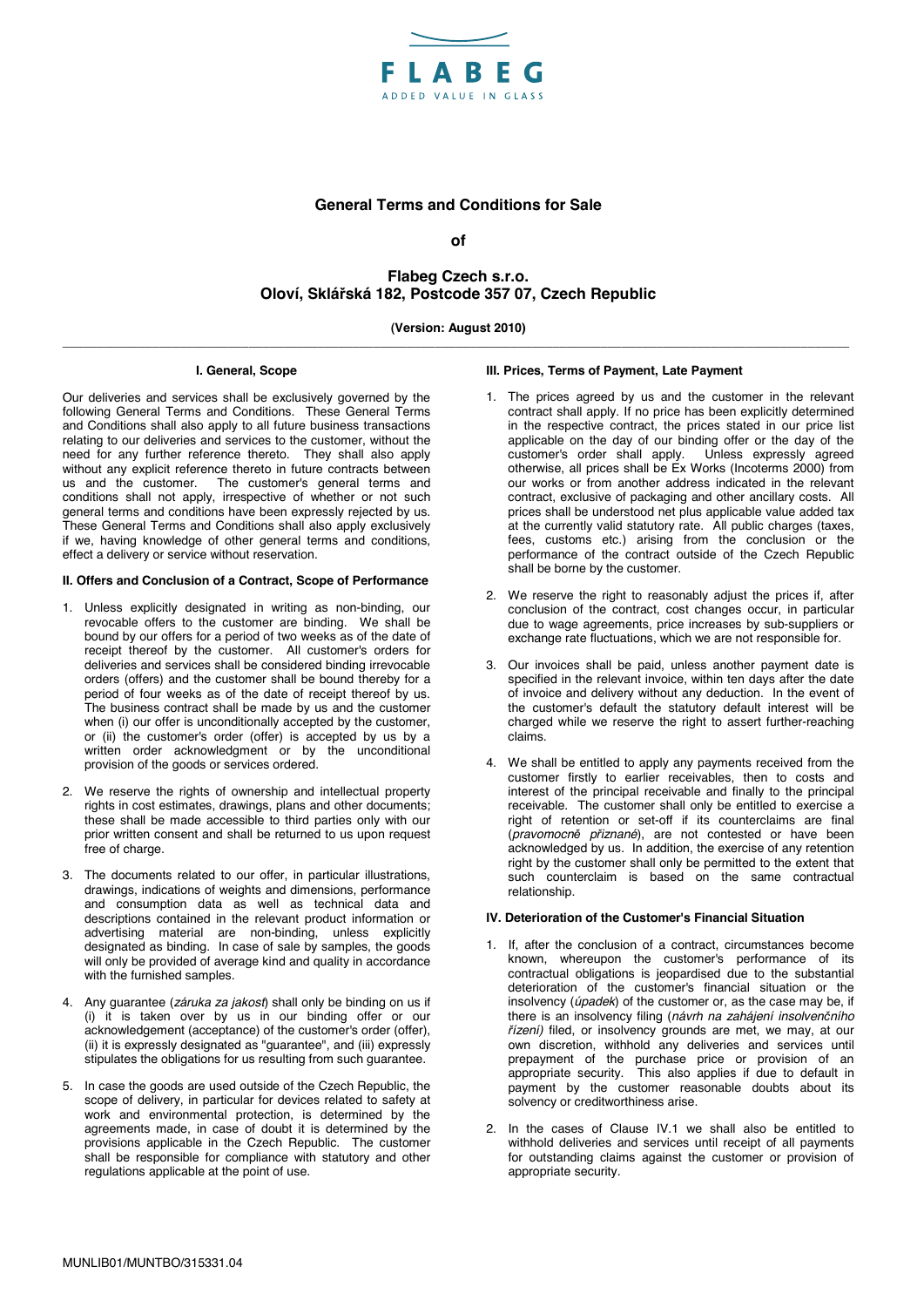

# **General Terms and Conditions for Sale**

**of** 

# **Flabeg Czech s.r.o. Oloví, Sklářská 182, Postcode 357 07, Czech Republic**

## **(Version: August 2010) \_\_\_\_\_\_\_\_\_\_\_\_\_\_\_\_\_\_\_\_\_\_\_\_\_\_\_\_\_\_\_\_\_\_\_\_\_\_\_\_\_\_\_\_\_\_\_\_\_\_\_\_\_\_\_\_\_\_\_\_\_\_\_\_\_\_\_\_\_\_\_\_\_\_\_\_\_\_\_\_\_\_\_\_\_\_\_\_\_\_\_\_\_\_\_\_\_\_\_\_\_\_\_\_\_\_\_\_\_\_\_\_\_\_**

### **I. General, Scope**

Our deliveries and services shall be exclusively governed by the following General Terms and Conditions. These General Terms and Conditions shall also apply to all future business transactions relating to our deliveries and services to the customer, without the need for any further reference thereto. They shall also apply without any explicit reference thereto in future contracts between us and the customer. The customer's general terms and conditions shall not apply, irrespective of whether or not such general terms and conditions have been expressly rejected by us. These General Terms and Conditions shall also apply exclusively if we, having knowledge of other general terms and conditions, effect a delivery or service without reservation.

#### **II. Offers and Conclusion of a Contract, Scope of Performance**

- 1. Unless explicitly designated in writing as non-binding, our revocable offers to the customer are binding. We shall be bound by our offers for a period of two weeks as of the date of receipt thereof by the customer. All customer's orders for deliveries and services shall be considered binding irrevocable orders (offers) and the customer shall be bound thereby for a period of four weeks as of the date of receipt thereof by us. The business contract shall be made by us and the customer when (i) our offer is unconditionally accepted by the customer, or (ii) the customer's order (offer) is accepted by us by a written order acknowledgment or by the unconditional provision of the goods or services ordered.
- 2. We reserve the rights of ownership and intellectual property rights in cost estimates, drawings, plans and other documents; these shall be made accessible to third parties only with our prior written consent and shall be returned to us upon request free of charge.
- 3. The documents related to our offer, in particular illustrations, drawings, indications of weights and dimensions, performance and consumption data as well as technical data and descriptions contained in the relevant product information or advertising material are non-binding, unless explicitly designated as binding. In case of sale by samples, the goods will only be provided of average kind and quality in accordance with the furnished samples.
- 4. Any guarantee (*záruka za jakost*) shall only be binding on us if (i) it is taken over by us in our binding offer or our acknowledgement (acceptance) of the customer's order (offer), (ii) it is expressly designated as "guarantee", and (iii) expressly stipulates the obligations for us resulting from such guarantee.
- 5. In case the goods are used outside of the Czech Republic, the scope of delivery, in particular for devices related to safety at work and environmental protection, is determined by the agreements made, in case of doubt it is determined by the provisions applicable in the Czech Republic. The customer shall be responsible for compliance with statutory and other regulations applicable at the point of use.

#### **III. Prices, Terms of Payment, Late Payment**

- 1. The prices agreed by us and the customer in the relevant contract shall apply. If no price has been explicitly determined in the respective contract, the prices stated in our price list applicable on the day of our binding offer or the day of the customer's order shall apply. Unless expressly agreed otherwise, all prices shall be Ex Works (Incoterms 2000) from our works or from another address indicated in the relevant contract, exclusive of packaging and other ancillary costs. All prices shall be understood net plus applicable value added tax at the currently valid statutory rate. All public charges (taxes, fees, customs etc.) arising from the conclusion or the performance of the contract outside of the Czech Republic shall be borne by the customer.
- 2. We reserve the right to reasonably adjust the prices if, after conclusion of the contract, cost changes occur, in particular due to wage agreements, price increases by sub-suppliers or exchange rate fluctuations, which we are not responsible for.
- 3. Our invoices shall be paid, unless another payment date is specified in the relevant invoice, within ten days after the date of invoice and delivery without any deduction. In the event of the customer's default the statutory default interest will be charged while we reserve the right to assert further-reaching claims.
- 4. We shall be entitled to apply any payments received from the customer firstly to earlier receivables, then to costs and interest of the principal receivable and finally to the principal receivable. The customer shall only be entitled to exercise a right of retention or set-off if its counterclaims are final (*pravomocně přiznané*), are not contested or have been acknowledged by us. In addition, the exercise of any retention right by the customer shall only be permitted to the extent that such counterclaim is based on the same contractual relationship.

#### **IV. Deterioration of the Customer's Financial Situation**

- 1. If, after the conclusion of a contract, circumstances become known, whereupon the customer's performance of its contractual obligations is jeopardised due to the substantial deterioration of the customer's financial situation or the insolvency (*úpadek*) of the customer or, as the case may be, if there is an insolvency filing (*návrh na zahájení insolvenčního řízení)* filed, or insolvency grounds are met, we may, at our own discretion, withhold any deliveries and services until prepayment of the purchase price or provision of an appropriate security. This also applies if due to default in payment by the customer reasonable doubts about its solvency or creditworthiness arise.
- 2. In the cases of Clause IV.1 we shall also be entitled to withhold deliveries and services until receipt of all payments for outstanding claims against the customer or provision of appropriate security.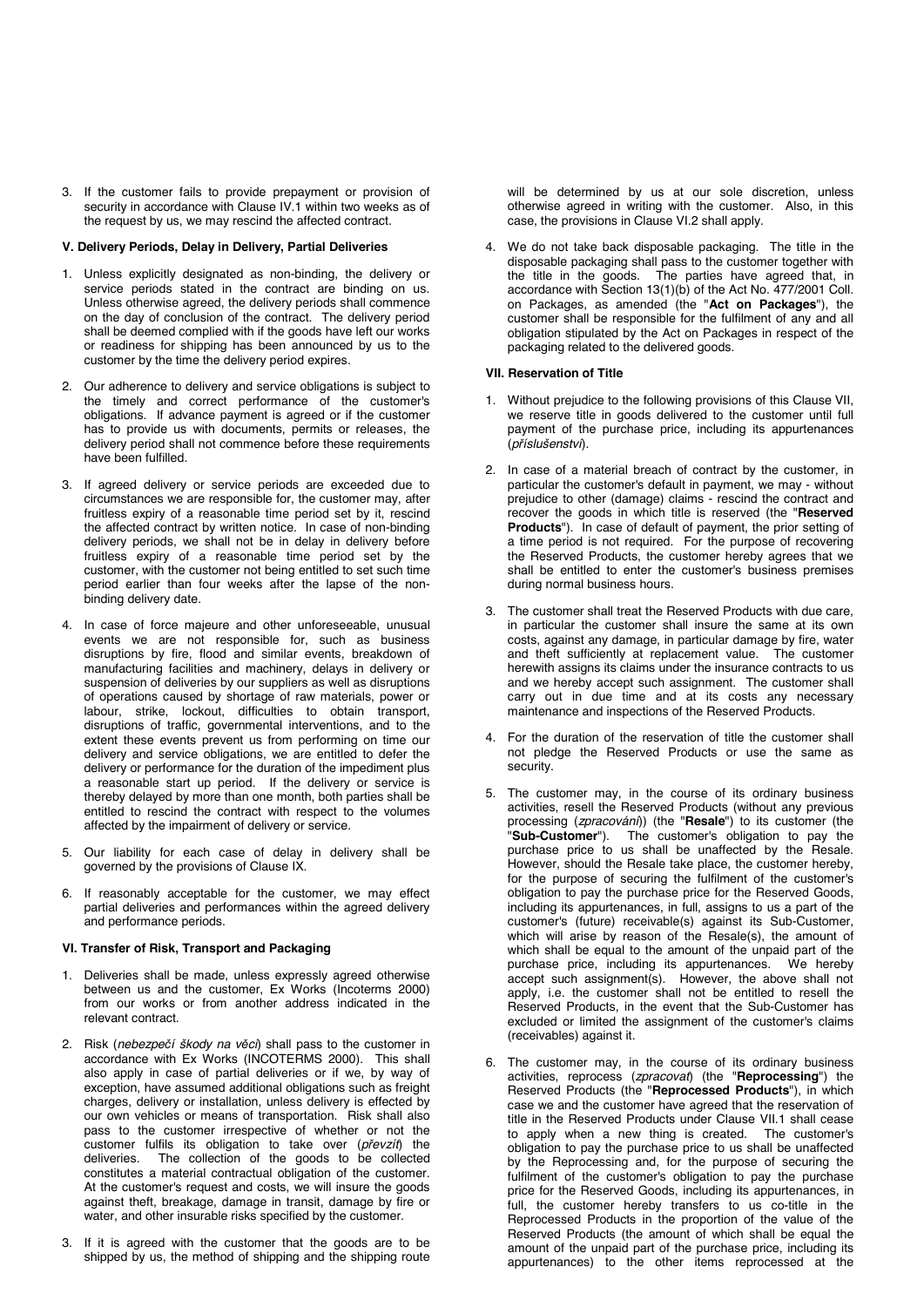3. If the customer fails to provide prepayment or provision of security in accordance with Clause IV.1 within two weeks as of the request by us, we may rescind the affected contract.

#### **V. Delivery Periods, Delay in Delivery, Partial Deliveries**

- 1. Unless explicitly designated as non-binding, the delivery or service periods stated in the contract are binding on us. Unless otherwise agreed, the delivery periods shall commence on the day of conclusion of the contract. The delivery period shall be deemed complied with if the goods have left our works or readiness for shipping has been announced by us to the customer by the time the delivery period expires.
- 2. Our adherence to delivery and service obligations is subject to the timely and correct performance of the customer's obligations. If advance payment is agreed or if the customer has to provide us with documents, permits or releases, the delivery period shall not commence before these requirements have been fulfilled.
- 3. If agreed delivery or service periods are exceeded due to circumstances we are responsible for, the customer may, after fruitless expiry of a reasonable time period set by it, rescind the affected contract by written notice. In case of non-binding delivery periods, we shall not be in delay in delivery before fruitless expiry of a reasonable time period set by the customer, with the customer not being entitled to set such time period earlier than four weeks after the lapse of the nonbinding delivery date.
- 4. In case of force majeure and other unforeseeable, unusual events we are not responsible for, such as business disruptions by fire, flood and similar events, breakdown of manufacturing facilities and machinery, delays in delivery or suspension of deliveries by our suppliers as well as disruptions of operations caused by shortage of raw materials, power or labour, strike, lockout, difficulties to obtain transport. disruptions of traffic, governmental interventions, and to the extent these events prevent us from performing on time our delivery and service obligations, we are entitled to defer the delivery or performance for the duration of the impediment plus a reasonable start up period. If the delivery or service is thereby delayed by more than one month, both parties shall be entitled to rescind the contract with respect to the volumes affected by the impairment of delivery or service.
- 5. Our liability for each case of delay in delivery shall be governed by the provisions of Clause IX.
- 6. If reasonably acceptable for the customer, we may effect partial deliveries and performances within the agreed delivery and performance periods.

#### **VI. Transfer of Risk, Transport and Packaging**

- Deliveries shall be made, unless expressly agreed otherwise between us and the customer, Ex Works (Incoterms 2000) from our works or from another address indicated in the relevant contract.
- 2. Risk (*nebezpečí škody na věci*) shall pass to the customer in accordance with Ex Works (INCOTERMS 2000). This shall also apply in case of partial deliveries or if we, by way of exception, have assumed additional obligations such as freight charges, delivery or installation, unless delivery is effected by our own vehicles or means of transportation. Risk shall also pass to the customer irrespective of whether or not the customer fulfils its obligation to take over (*převzít*) the The collection of the goods to be collected constitutes a material contractual obligation of the customer. At the customer's request and costs, we will insure the goods against theft, breakage, damage in transit, damage by fire or water, and other insurable risks specified by the customer.
- 3. If it is agreed with the customer that the goods are to be shipped by us, the method of shipping and the shipping route

will be determined by us at our sole discretion, unless otherwise agreed in writing with the customer. Also, in this case, the provisions in Clause VI.2 shall apply.

4. We do not take back disposable packaging. The title in the disposable packaging shall pass to the customer together with the title in the goods. The parties have agreed that, in accordance with Section 13(1)(b) of the Act No. 477/2001 Coll. on Packages, as amended (the "**Act on Packages**"), the customer shall be responsible for the fulfilment of any and all obligation stipulated by the Act on Packages in respect of the packaging related to the delivered goods.

#### **VII. Reservation of Title**

- 1. Without prejudice to the following provisions of this Clause VII, we reserve title in goods delivered to the customer until full payment of the purchase price, including its appurtenances (*příslušenství*).
- 2. In case of a material breach of contract by the customer, in particular the customer's default in payment, we may - without prejudice to other (damage) claims - rescind the contract and recover the goods in which title is reserved (the "**Reserved Products**"). In case of default of payment, the prior setting of a time period is not required. For the purpose of recovering the Reserved Products, the customer hereby agrees that we shall be entitled to enter the customer's business premises during normal business hours.
- 3. The customer shall treat the Reserved Products with due care, in particular the customer shall insure the same at its own costs, against any damage, in particular damage by fire, water and theft sufficiently at replacement value. The customer herewith assigns its claims under the insurance contracts to us and we hereby accept such assignment. The customer shall carry out in due time and at its costs any necessary maintenance and inspections of the Reserved Products.
- 4. For the duration of the reservation of title the customer shall not pledge the Reserved Products or use the same as security.
- 5. The customer may, in the course of its ordinary business activities, resell the Reserved Products (without any previous processing (*zpracování*)) (the "**Resale**") to its customer (the "**Sub-Customer**"). The customer's obligation to pay the purchase price to us shall be unaffected by the Resale. However, should the Resale take place, the customer hereby, for the purpose of securing the fulfilment of the customer's obligation to pay the purchase price for the Reserved Goods, including its appurtenances, in full, assigns to us a part of the customer's (future) receivable(s) against its Sub-Customer, which will arise by reason of the Resale(s), the amount of which shall be equal to the amount of the unpaid part of the purchase price including its appurtenances. We hereby purchase price, including its appurtenances. accept such assignment(s). However, the above shall not apply, i.e. the customer shall not be entitled to resell the Reserved Products, in the event that the Sub-Customer has excluded or limited the assignment of the customer's claims (receivables) against it.
- 6. The customer may, in the course of its ordinary business activities, reprocess (*zpracovat*) (the "**Reprocessing**") the Reserved Products (the "**Reprocessed Products**"), in which case we and the customer have agreed that the reservation of title in the Reserved Products under Clause VII.1 shall cease to apply when a new thing is created. The customer's obligation to pay the purchase price to us shall be unaffected by the Reprocessing and, for the purpose of securing the fulfilment of the customer's obligation to pay the purchase price for the Reserved Goods, including its appurtenances, in full, the customer hereby transfers to us co-title in the Reprocessed Products in the proportion of the value of the Reserved Products (the amount of which shall be equal the amount of the unpaid part of the purchase price, including its appurtenances) to the other items reprocessed at the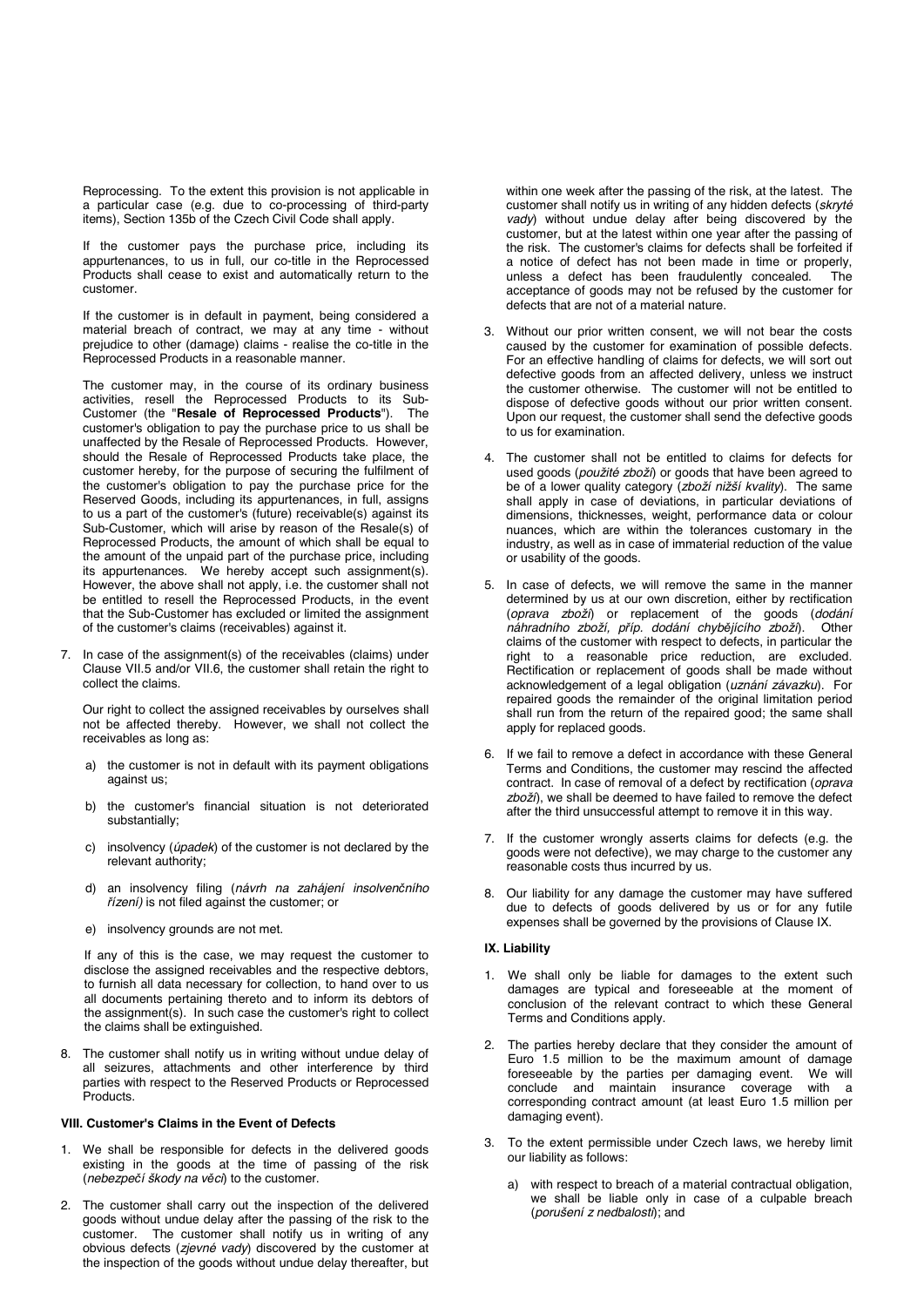Reprocessing. To the extent this provision is not applicable in a particular case (e.g. due to co-processing of third-party items), Section 135b of the Czech Civil Code shall apply.

 If the customer pays the purchase price, including its appurtenances, to us in full, our co-title in the Reprocessed Products shall cease to exist and automatically return to the customer.

 If the customer is in default in payment, being considered a material breach of contract, we may at any time - without prejudice to other (damage) claims - realise the co-title in the Reprocessed Products in a reasonable manner.

 The customer may, in the course of its ordinary business activities, resell the Reprocessed Products to its Sub-Customer (the "**Resale of Reprocessed Products**"). The customer's obligation to pay the purchase price to us shall be unaffected by the Resale of Reprocessed Products. However, should the Resale of Reprocessed Products take place, the customer hereby, for the purpose of securing the fulfilment of the customer's obligation to pay the purchase price for the Reserved Goods, including its appurtenances, in full, assigns to us a part of the customer's (future) receivable(s) against its Sub-Customer, which will arise by reason of the Resale(s) of Reprocessed Products, the amount of which shall be equal to the amount of the unpaid part of the purchase price, including its appurtenances. We hereby accept such assignment(s). However, the above shall not apply, i.e. the customer shall not be entitled to resell the Reprocessed Products, in the event that the Sub-Customer has excluded or limited the assignment of the customer's claims (receivables) against it.

7. In case of the assignment(s) of the receivables (claims) under Clause VII.5 and/or VII.6, the customer shall retain the right to collect the claims.

 Our right to collect the assigned receivables by ourselves shall not be affected thereby. However, we shall not collect the receivables as long as:

- a) the customer is not in default with its payment obligations against us;
- b) the customer's financial situation is not deteriorated substantially;
- c) insolvency (*úpadek*) of the customer is not declared by the relevant authority;
- d) an insolvency filing (*návrh na zahájení insolvenčního řízení)* is not filed against the customer; or
- e) insolvency grounds are not met.

 If any of this is the case, we may request the customer to disclose the assigned receivables and the respective debtors, to furnish all data necessary for collection, to hand over to us all documents pertaining thereto and to inform its debtors of the assignment(s). In such case the customer's right to collect the claims shall be extinguished.

8. The customer shall notify us in writing without undue delay of all seizures, attachments and other interference by third parties with respect to the Reserved Products or Reprocessed Products.

#### **VIII. Customer's Claims in the Event of Defects**

- 1. We shall be responsible for defects in the delivered goods existing in the goods at the time of passing of the risk (*nebezpečí škody na věci*) to the customer.
- 2. The customer shall carry out the inspection of the delivered goods without undue delay after the passing of the risk to the customer. The customer shall notify us in writing of any obvious defects (*zjevné vady*) discovered by the customer at the inspection of the goods without undue delay thereafter, but

within one week after the passing of the risk, at the latest. The customer shall notify us in writing of any hidden defects (*skryté vady*) without undue delay after being discovered by the customer, but at the latest within one year after the passing of the risk. The customer's claims for defects shall be forfeited if a notice of defect has not been made in time or properly,<br>unless a defect has been fraudulently concealed. The unless a defect has been fraudulently concealed. acceptance of goods may not be refused by the customer for defects that are not of a material nature.

- 3. Without our prior written consent, we will not bear the costs caused by the customer for examination of possible defects. For an effective handling of claims for defects, we will sort out defective goods from an affected delivery, unless we instruct the customer otherwise. The customer will not be entitled to dispose of defective goods without our prior written consent. Upon our request, the customer shall send the defective goods to us for examination.
- 4. The customer shall not be entitled to claims for defects for used goods (použité zboží) or goods that have been agreed to be of a lower quality category (zboží nižší kvality). The same shall apply in case of deviations, in particular deviations of dimensions, thicknesses, weight, performance data or colour nuances, which are within the tolerances customary in the industry, as well as in case of immaterial reduction of the value or usability of the goods.
- 5. In case of defects, we will remove the same in the manner determined by us at our own discretion, either by rectification (oprava zboží) or replacement of the goods (*dodání*  náhradního zboží, příp. dodání chybějícího zboží). claims of the customer with respect to defects, in particular the right to a reasonable price reduction, are excluded. Rectification or replacement of goods shall be made without acknowledgement of a legal obligation (*uznání závazku*). For repaired goods the remainder of the original limitation period shall run from the return of the repaired good; the same shall apply for replaced goods.
- 6. If we fail to remove a defect in accordance with these General Terms and Conditions, the customer may rescind the affected contract. In case of removal of a defect by rectification (*oprava*  zboží), we shall be deemed to have failed to remove the defect after the third unsuccessful attempt to remove it in this way.
- 7. If the customer wrongly asserts claims for defects (e.g. the goods were not defective), we may charge to the customer any reasonable costs thus incurred by us.
- 8. Our liability for any damage the customer may have suffered due to defects of goods delivered by us or for any futile expenses shall be governed by the provisions of Clause IX.

#### **IX. Liability**

- We shall only be liable for damages to the extent such damages are typical and foreseeable at the moment of conclusion of the relevant contract to which these General Terms and Conditions apply.
- 2. The parties hereby declare that they consider the amount of Euro 1.5 million to be the maximum amount of damage<br>foreseeable by the parties per damaging event. We will foreseeable by the parties per damaging event. We will conclude and maintain insurance coverage with a corresponding contract amount (at least Euro 1.5 million per damaging event).
- 3. To the extent permissible under Czech laws, we hereby limit our liability as follows:
	- a) with respect to breach of a material contractual obligation, we shall be liable only in case of a culpable breach (*porušení z nedbalosti*); and